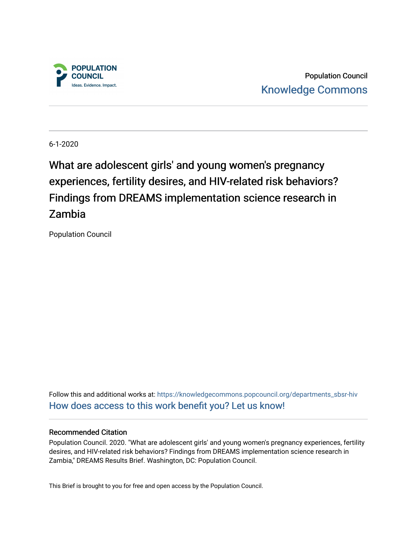

Population Council [Knowledge Commons](https://knowledgecommons.popcouncil.org/) 

6-1-2020

What are adolescent girls' and young women's pregnancy experiences, fertility desires, and HIV-related risk behaviors? Findings from DREAMS implementation science research in Zambia

Population Council

Follow this and additional works at: [https://knowledgecommons.popcouncil.org/departments\\_sbsr-hiv](https://knowledgecommons.popcouncil.org/departments_sbsr-hiv?utm_source=knowledgecommons.popcouncil.org%2Fdepartments_sbsr-hiv%2F670&utm_medium=PDF&utm_campaign=PDFCoverPages) [How does access to this work benefit you? Let us know!](https://pcouncil.wufoo.com/forms/open-access-to-population-council-research/)

#### Recommended Citation

Population Council. 2020. "What are adolescent girls' and young women's pregnancy experiences, fertility desires, and HIV-related risk behaviors? Findings from DREAMS implementation science research in Zambia," DREAMS Results Brief. Washington, DC: Population Council.

This Brief is brought to you for free and open access by the Population Council.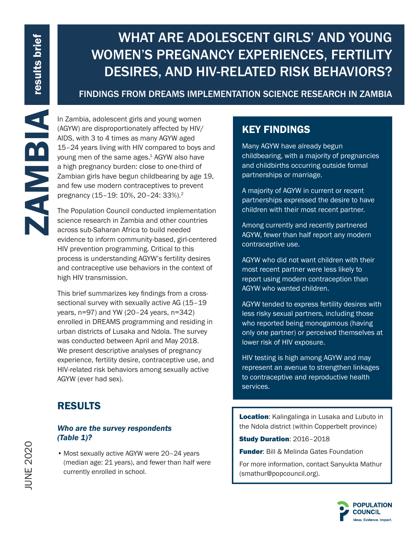# WHAT ARE ADOLESCENT GIRLS' AND YOUNG WOMEN'S PREGNANCY EXPERIENCES, FERTILITY DESIRES, AND HIV-RELATED RISK BEHAVIORS?

### FINDINGS FROM DREAMS IMPLEMENTATION SCIENCE RESEARCH IN ZAMBIA

(AGYW) are disproportionately affected by HIV/ AIDS, with 3 to 4 times as many AGYW aged 15–24 years living with HIV compared to boys and young men of the same ages.<sup>1</sup> AGYW also have a high pregnancy burden: close to one-third of Zambian girls have begun childbearing by age 19, and few use modern contraceptives to prevent pregnancy (15–19: 10%, 20–24: 33%).2

The Population Council conducted implementation science research in Zambia and other countries across sub-Saharan Africa to build needed evidence to inform community-based, girl-centered HIV prevention programming. Critical to this process is understanding AGYW's fertility desires and contraceptive use behaviors in the context of high HIV transmission.

In Zambia, adolescent girls and young women<br>
(AGYW) are disproportionately affected by HIV/<br>
AIDS, with 3 to 4 times as many AGYW aged<br>
3 map and the same ages.<sup>4</sup> AGYW also have<br>
2 map pregnancy burden: close to one-third This brief summarizes key findings from a crosssectional survey with sexually active AG (15–19 years, n=97) and YW (20–24 years, n=342) enrolled in DREAMS programming and residing in urban districts of Lusaka and Ndola. The survey was conducted between April and May 2018. We present descriptive analyses of pregnancy experience, fertility desire, contraceptive use, and HIV-related risk behaviors among sexually active AGYW (ever had sex).

### RESULTS

### *Who are the survey respondents (Table 1)?*

• Most sexually active AGYW were 20–24 years (median age: 21 years), and fewer than half were currently enrolled in school.

## KEY FINDINGS

Many AGYW have already begun childbearing, with a majority of pregnancies and childbirths occurring outside formal partnerships or marriage.

A majority of AGYW in current or recent partnerships expressed the desire to have children with their most recent partner.

Among currently and recently partnered AGYW, fewer than half report any modern contraceptive use.

AGYW who did not want children with their most recent partner were less likely to report using modern contraception than AGYW who wanted children.

AGYW tended to express fertility desires with less risky sexual partners, including those who reported being monogamous (having only one partner) or perceived themselves at lower risk of HIV exposure.

HIV testing is high among AGYW and may represent an avenue to strengthen linkages to contraceptive and reproductive health services.

Location: Kalingalinga in Lusaka and Lubuto in the Ndola district (within Copperbelt province)

Study Duration: 2016–2018

**Funder: Bill & Melinda Gates Foundation** 

For more information, contact Sanyukta Mathur (smathur@popcouncil.org).

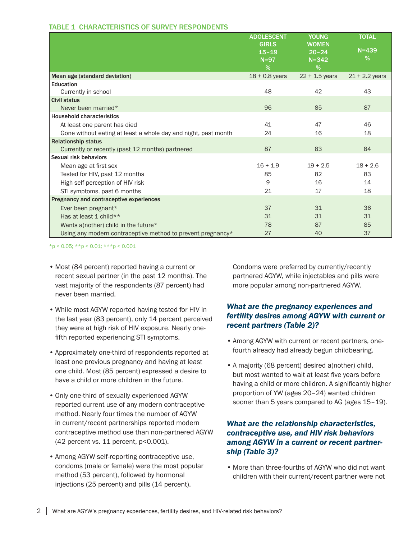| <b>TABLE 1 CHARACTERISTICS OF SURVEY RESPONDENTS</b> |
|------------------------------------------------------|
|------------------------------------------------------|

|                                                                | <b>ADOLESCENT</b><br><b>GIRLS</b><br>$15 - 19$<br>$N=97$<br>$\%$ | <b>YOUNG</b><br><b>WOMEN</b><br>$20 - 24$<br>$N = 342$<br>% | <b>TOTAL</b><br>$N = 439$<br>% |
|----------------------------------------------------------------|------------------------------------------------------------------|-------------------------------------------------------------|--------------------------------|
| Mean age (standard deviation)                                  | $18 + 0.8$ years                                                 | $22 + 1.5$ years                                            | $21 + 2.2$ years               |
| <b>Education</b>                                               |                                                                  |                                                             |                                |
| Currently in school                                            | 48                                                               | 42                                                          | 43                             |
| <b>Civil status</b>                                            |                                                                  |                                                             |                                |
| Never been married*                                            | 96                                                               | 85                                                          | 87                             |
| <b>Household characteristics</b>                               |                                                                  |                                                             |                                |
| At least one parent has died                                   | 41                                                               | 47                                                          | 46                             |
| Gone without eating at least a whole day and night, past month | 24                                                               | 16                                                          | 18                             |
| <b>Relationship status</b>                                     |                                                                  |                                                             |                                |
| Currently or recently (past 12 months) partnered               | 87                                                               | 83                                                          | 84                             |
| Sexual risk behaviors                                          |                                                                  |                                                             |                                |
| Mean age at first sex                                          | $16 + 1.9$                                                       | $19 + 2.5$                                                  | $18 + 2.6$                     |
| Tested for HIV, past 12 months                                 | 85                                                               | 82                                                          | 83                             |
| High self-perception of HIV risk                               | 9                                                                | 16                                                          | 14                             |
| STI symptoms, past 6 months                                    | 21                                                               | 17                                                          | 18                             |
| Pregnancy and contraceptive experiences                        |                                                                  |                                                             |                                |
| Ever been pregnant*                                            | 37                                                               | 31                                                          | 36                             |
| Has at least 1 child**                                         | 31                                                               | 31                                                          | 31                             |
| Wants a(nother) child in the future*                           | 78                                                               | 87                                                          | 85                             |
| Using any modern contraceptive method to prevent pregnancy*    | 27                                                               | 40                                                          | 37                             |

#### \*p < 0.05; \*\*p < 0.01; \*\*\*p < 0.001

- Most (84 percent) reported having a current or recent sexual partner (in the past 12 months). The vast majority of the respondents (87 percent) had never been married.
- While most AGYW reported having tested for HIV in the last year (83 percent), only 14 percent perceived they were at high risk of HIV exposure. Nearly onefifth reported experiencing STI symptoms.
- Approximately one-third of respondents reported at least one previous pregnancy and having at least one child. Most (85 percent) expressed a desire to have a child or more children in the future.
- Only one-third of sexually experienced AGYW reported current use of any modern contraceptive method. Nearly four times the number of AGYW in current/recent partnerships reported modern contraceptive method use than non-partnered AGYW (42 percent vs. 11 percent, p<0.001).
- Among AGYW self-reporting contraceptive use, condoms (male or female) were the most popular method (53 percent), followed by hormonal injections (25 percent) and pills (14 percent).

Condoms were preferred by currently/recently partnered AGYW, while injectables and pills were more popular among non-partnered AGYW.

### *What are the pregnancy experiences and fertility desires among AGYW with current or recent partners (Table 2)?*

- Among AGYW with current or recent partners, onefourth already had already begun childbearing.
- A majority (68 percent) desired a(nother) child, but most wanted to wait at least five years before having a child or more children. A significantly higher proportion of YW (ages 20–24) wanted children sooner than 5 years compared to AG (ages 15–19).

#### *What are the relationship characteristics, contraceptive use, and HIV risk behaviors among AGYW in a current or recent partnership (Table 3)?*

• More than three-fourths of AGYW who did not want children with their current/recent partner were not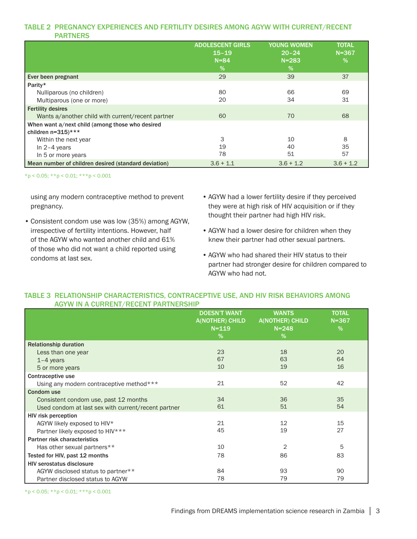#### TABLE 2 PREGNANCY EXPERIENCES AND FERTILITY DESIRES AMONG AGYW WITH CURRENT/RECENT PARTNERS

|                                                                                    | <b>ADOLESCENT GIRLS</b> | <b>YOUNG WOMEN</b> | <b>TOTAL</b> |
|------------------------------------------------------------------------------------|-------------------------|--------------------|--------------|
|                                                                                    | $15 - 19$               | $20 - 24$          | $N = 367$    |
|                                                                                    | $N = 84$                | $N = 283$          | %            |
|                                                                                    | %                       | %                  |              |
| Ever been pregnant                                                                 | 29                      | 39                 | 37           |
| Parity*                                                                            |                         |                    |              |
| Nulliparous (no children)                                                          | 80                      | 66                 | 69           |
| Multiparous (one or more)                                                          | 20                      | 34                 | 31           |
| <b>Fertility desires</b>                                                           |                         |                    |              |
| Wants a/another child with current/recent partner                                  | 60                      | 70                 | 68           |
| When want a/next child (among those who desired<br>children $n=315$ <sup>***</sup> |                         |                    |              |
| Within the next year                                                               | 3                       | 10                 | 8            |
| In $2-4$ years                                                                     | 19                      | 40                 | 35           |
| In 5 or more years                                                                 | 78                      | 51                 | 57           |
| Mean number of children desired (standard deviation)                               | $3.6 + 1.1$             | $3.6 + 1.2$        | $3.6 + 1.2$  |

\*p < 0.05; \*\*p < 0.01; \*\*\*p < 0.001

using any modern contraceptive method to prevent pregnancy.

- Consistent condom use was low (35%) among AGYW, irrespective of fertility intentions. However, half of the AGYW who wanted another child and 61% of those who did not want a child reported using condoms at last sex.
- AGYW had a lower fertility desire if they perceived they were at high risk of HIV acquisition or if they thought their partner had high HIV risk.
- AGYW had a lower desire for children when they knew their partner had other sexual partners.
- AGYW who had shared their HIV status to their partner had stronger desire for children compared to AGYW who had not.

#### TABLE 3 RELATIONSHIP CHARACTERISTICS, CONTRACEPTIVE USE, AND HIV RISK BEHAVIORS AMONG AGYW IN A CURRENT/RECENT PARTNERSHIP

|                                                     | <b>DOESN'T WANT</b><br><b>A(NOTHER) CHILD</b><br>$N = 119$<br>$\%$ | <b>WANTS</b><br><b>A(NOTHER) CHILD</b><br>$N = 248$<br>% | <b>TOTAL</b><br>$N = 367$<br>% |
|-----------------------------------------------------|--------------------------------------------------------------------|----------------------------------------------------------|--------------------------------|
| <b>Relationship duration</b>                        |                                                                    |                                                          |                                |
| Less than one year                                  | 23                                                                 | 18                                                       | 20                             |
| $1-4$ years                                         | 67                                                                 | 63                                                       | 64                             |
| 5 or more years                                     | 10                                                                 | 19                                                       | 16                             |
| Contraceptive use                                   |                                                                    |                                                          |                                |
| Using any modern contraceptive method***            | 21                                                                 | 52                                                       | 42                             |
| <b>Condom use</b>                                   |                                                                    |                                                          |                                |
| Consistent condom use, past 12 months               | 34                                                                 | 36                                                       | 35                             |
| Used condom at last sex with current/recent partner | 61                                                                 | 51                                                       | 54                             |
| <b>HIV risk perception</b>                          |                                                                    |                                                          |                                |
| AGYW likely exposed to HIV*                         | 21                                                                 | 12                                                       | 15                             |
| Partner likely exposed to HIV***                    | 45                                                                 | 19                                                       | 27                             |
| Partner risk characteristics                        |                                                                    |                                                          |                                |
| Has other sexual partners**                         | 10                                                                 | 2                                                        | 5                              |
| Tested for HIV, past 12 months                      | 78                                                                 | 86                                                       | 83                             |
| <b>HIV serostatus disclosure</b>                    |                                                                    |                                                          |                                |
| AGYW disclosed status to partner**                  | 84                                                                 | 93                                                       | 90                             |
| Partner disclosed status to AGYW                    | 78                                                                 | 79                                                       | 79                             |

 $*p < 0.05$ ;  $* p < 0.01$ ;  $* * p < 0.001$